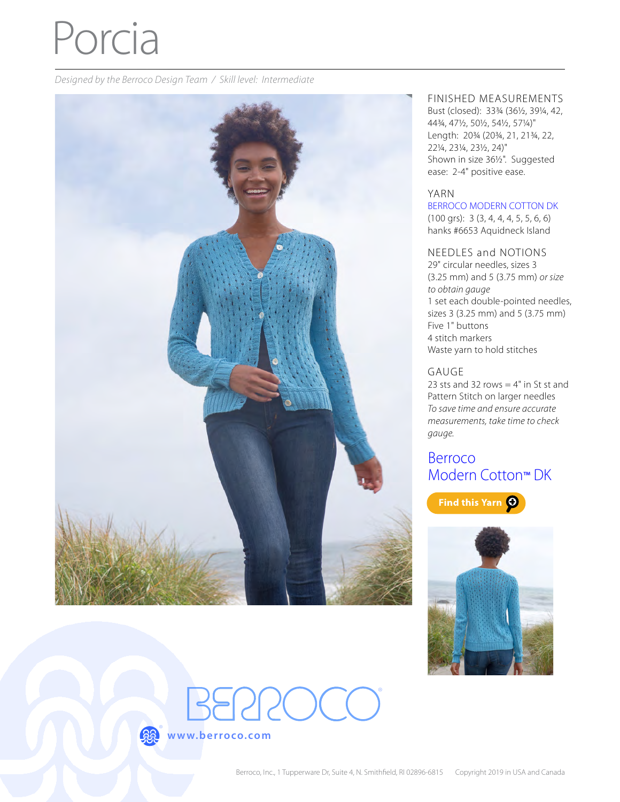# Porcia

*Designed by the Berroco Design Team / Skill level: Intermediate*



#### FINISHED MEASUREMENTS

Bust (closed): 33¾ (36½, 39¼, 42, 44¾, 47½, 50½, 54½, 57¼)" Length: 20¾ (20¾, 21, 21¾, 22, 22¼, 23¼, 23½, 24)" Shown in size 36½". Suggested ease: 2-4" positive ease.

#### YARN

[BERROCO MODERN COTTON DK](http://www.berroco.com/yarns/berroco-modern-cotton-dk)

(100 grs): 3 (3, 4, 4, 4, 5, 5, 6, 6) hanks #6653 Aquidneck Island

#### NEEDLES and NOTIONS

29" circular needles, sizes 3 (3.25 mm) and 5 (3.75 mm) *or size to obtain gauge* 1 set each double-pointed needles, sizes 3 (3.25 mm) and 5 (3.75 mm) Five 1" buttons 4 stitch markers Waste yarn to hold stitches

#### GAUGE

23 sts and 32 rows  $=$  4" in St st and Pattern Stitch on larger needles *To save time and ensure accurate measurements, take time to check gauge.*

# [Berroco](https://www.berroco.com/yarns/berroco-modern-cotton-dk)  [Modern Cotton](https://www.berroco.com/yarns/berroco-modern-cotton-dk)™ DK







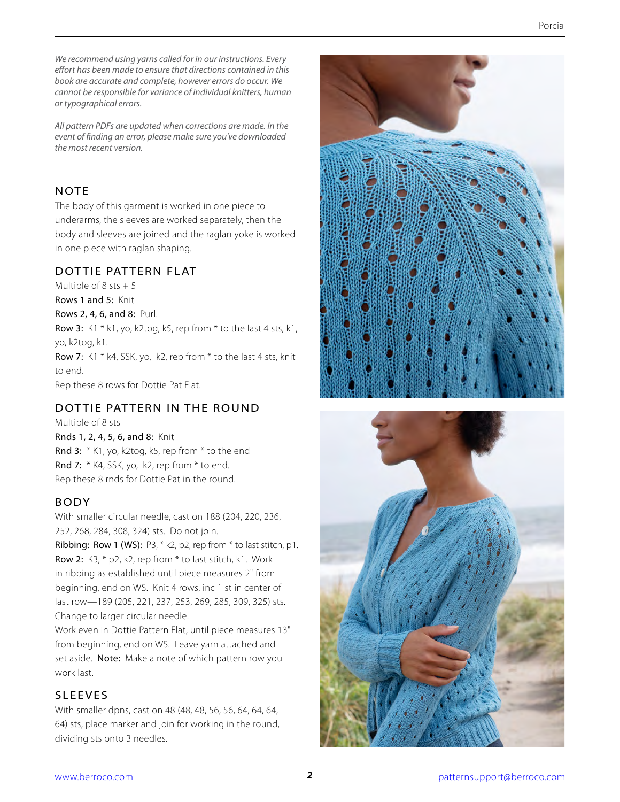*We recommend using yarns called for in our instructions. Every effort has been made to ensure that directions contained in this book are accurate and complete, however errors do occur. We cannot be responsible for variance of individual knitters, human or typographical errors.*

*All pattern PDFs are updated when corrections are made. In the event of finding an error, please make sure you've downloaded the most recent version.*

#### **NOTE**

The body of this garment is worked in one piece to underarms, the sleeves are worked separately, then the body and sleeves are joined and the raglan yoke is worked in one piece with raglan shaping.

## DOTTIE PATTERN FLAT

Multiple of 8 sts  $+5$ Rows 1 and 5: Knit Rows 2, 4, 6, and 8: Purl. Row 3: K1 \* k1, yo, k2tog, k5, rep from \* to the last 4 sts, k1, yo, k2tog, k1. Row 7: K1 \* k4, SSK, yo, k2, rep from \* to the last 4 sts, knit to end. Rep these 8 rows for Dottie Pat Flat.

# DOTTIE PATTERN IN THE ROUND

Multiple of 8 sts

Rnds 1, 2, 4, 5, 6, and 8: Knit Rnd 3: \* K1, yo, k2tog, k5, rep from \* to the end Rnd 7: \* K4, SSK, yo, k2, rep from \* to end. Rep these 8 rnds for Dottie Pat in the round.

# BODY

With smaller circular needle, cast on 188 (204, 220, 236, 252, 268, 284, 308, 324) sts. Do not join.

Ribbing: Row 1 (WS): P3, \* k2, p2, rep from \* to last stitch, p1. Row 2: K3, \* p2, k2, rep from \* to last stitch, k1. Work in ribbing as established until piece measures 2" from beginning, end on WS. Knit 4 rows, inc 1 st in center of last row—189 (205, 221, 237, 253, 269, 285, 309, 325) sts. Change to larger circular needle.

Work even in Dottie Pattern Flat, until piece measures 13" from beginning, end on WS. Leave yarn attached and set aside. Note: Make a note of which pattern row you work last.

## SLEEVES

With smaller dpns, cast on 48 (48, 48, 56, 56, 64, 64, 64, 64) sts, place marker and join for working in the round, dividing sts onto 3 needles.



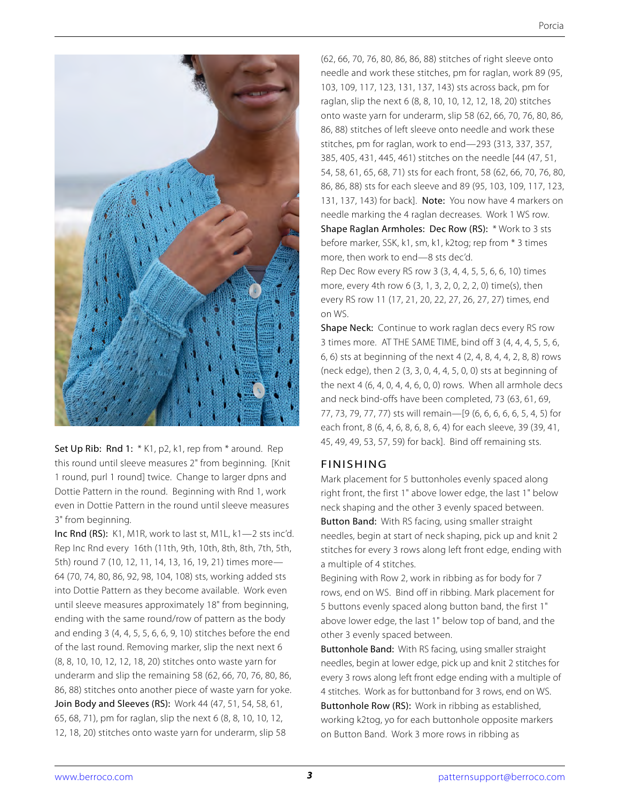

Set Up Rib: Rnd 1: \* K1, p2, k1, rep from \* around. Rep this round until sleeve measures 2" from beginning. [Knit 1 round, purl 1 round] twice. Change to larger dpns and Dottie Pattern in the round. Beginning with Rnd 1, work even in Dottie Pattern in the round until sleeve measures 3" from beginning.

Inc Rnd (RS): K1, M1R, work to last st, M1L, k1—2 sts inc'd. Rep Inc Rnd every 16th (11th, 9th, 10th, 8th, 8th, 7th, 5th, 5th) round 7 (10, 12, 11, 14, 13, 16, 19, 21) times more— 64 (70, 74, 80, 86, 92, 98, 104, 108) sts, working added sts into Dottie Pattern as they become available. Work even until sleeve measures approximately 18" from beginning, ending with the same round/row of pattern as the body and ending 3 (4, 4, 5, 5, 6, 6, 9, 10) stitches before the end of the last round. Removing marker, slip the next next 6 (8, 8, 10, 10, 12, 12, 18, 20) stitches onto waste yarn for underarm and slip the remaining 58 (62, 66, 70, 76, 80, 86, 86, 88) stitches onto another piece of waste yarn for yoke. Join Body and Sleeves (RS): Work 44 (47, 51, 54, 58, 61, 65, 68, 71), pm for raglan, slip the next 6 (8, 8, 10, 10, 12, 12, 18, 20) stitches onto waste yarn for underarm, slip 58

(62, 66, 70, 76, 80, 86, 86, 88) stitches of right sleeve onto needle and work these stitches, pm for raglan, work 89 (95, 103, 109, 117, 123, 131, 137, 143) sts across back, pm for raglan, slip the next 6 (8, 8, 10, 10, 12, 12, 18, 20) stitches onto waste yarn for underarm, slip 58 (62, 66, 70, 76, 80, 86, 86, 88) stitches of left sleeve onto needle and work these stitches, pm for raglan, work to end—293 (313, 337, 357, 385, 405, 431, 445, 461) stitches on the needle [44 (47, 51, 54, 58, 61, 65, 68, 71) sts for each front, 58 (62, 66, 70, 76, 80, 86, 86, 88) sts for each sleeve and 89 (95, 103, 109, 117, 123, 131, 137, 143) for back]. Note: You now have 4 markers on needle marking the 4 raglan decreases. Work 1 WS row. Shape Raglan Armholes: Dec Row (RS): \* Work to 3 sts before marker, SSK, k1, sm, k1, k2tog; rep from \* 3 times more, then work to end—8 sts dec'd.

Rep Dec Row every RS row 3 (3, 4, 4, 5, 5, 6, 6, 10) times more, every 4th row 6 (3, 1, 3, 2, 0, 2, 2, 0) time(s), then every RS row 11 (17, 21, 20, 22, 27, 26, 27, 27) times, end on WS.

Shape Neck: Continue to work raglan decs every RS row 3 times more. AT THE SAME TIME, bind off 3 (4, 4, 4, 5, 5, 6, 6, 6) sts at beginning of the next 4 (2, 4, 8, 4, 4, 2, 8, 8) rows (neck edge), then 2 (3, 3, 0, 4, 4, 5, 0, 0) sts at beginning of the next 4 (6, 4, 0, 4, 4, 6, 0, 0) rows. When all armhole decs and neck bind-offs have been completed, 73 (63, 61, 69, 77, 73, 79, 77, 77) sts will remain—[9 (6, 6, 6, 6, 6, 5, 4, 5) for each front, 8 (6, 4, 6, 8, 6, 8, 6, 4) for each sleeve, 39 (39, 41, 45, 49, 49, 53, 57, 59) for back]. Bind off remaining sts.

#### FINISHING

Mark placement for 5 buttonholes evenly spaced along right front, the first 1" above lower edge, the last 1" below neck shaping and the other 3 evenly spaced between. Button Band: With RS facing, using smaller straight needles, begin at start of neck shaping, pick up and knit 2 stitches for every 3 rows along left front edge, ending with a multiple of 4 stitches.

Begining with Row 2, work in ribbing as for body for 7 rows, end on WS. Bind off in ribbing. Mark placement for 5 buttons evenly spaced along button band, the first 1" above lower edge, the last 1" below top of band, and the other 3 evenly spaced between.

Buttonhole Band: With RS facing, using smaller straight needles, begin at lower edge, pick up and knit 2 stitches for every 3 rows along left front edge ending with a multiple of 4 stitches. Work as for buttonband for 3 rows, end on WS. Buttonhole Row (RS): Work in ribbing as established, working k2tog, yo for each buttonhole opposite markers on Button Band. Work 3 more rows in ribbing as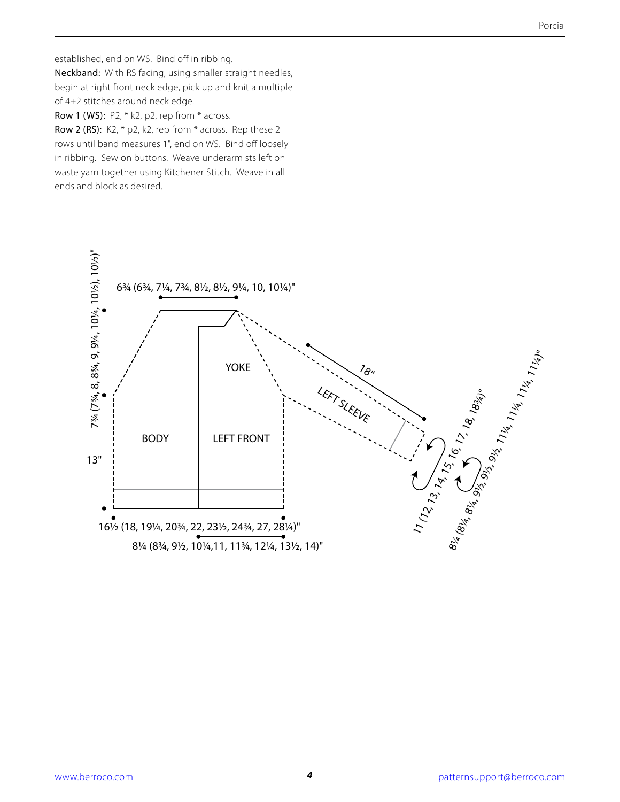established, end on WS. Bind off in ribbing. Neckband: With RS facing, using smaller straight needles, begin at right front neck edge, pick up and knit a multiple of 4+2 stitches around neck edge.

Row 1 (WS): P2, \* k2, p2, rep from \* across.

Row 2 (RS): K2, \* p2, k2, rep from \* across. Rep these 2 rows until band measures 1", end on WS. Bind off loosely in ribbing. Sew on buttons. Weave underarm sts left on waste yarn together using Kitchener Stitch. Weave in all ends and block as desired.